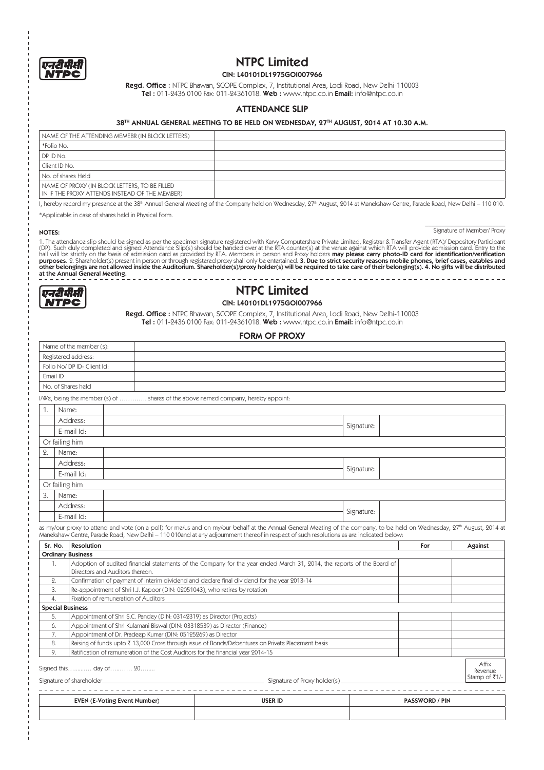

## NTPC Limited

CIN: L40101DL1975GOI007966

 $\texttt{Regd. Office}:$  NTPC Bhawan, SCOPE Complex, 7, Institutional Area, Lodi Road, New Delhi-110003 **Tel :** 011-2436 0100 Fax: 011-24361018. **Web :** www.ntpc.co.in **Email:** info@ntpc.co.in

### ATTENDANCE SLIP

### 38TH ANNUAL GENERAL MEETING TO BE HELD ON WEDNESDAY, 27TH AUGUST, 2014 AT 10.30 A.M.

| NAME OF THE ATTENDING MEMEBR (IN BLOCK LETTERS)                                                 |  |
|-------------------------------------------------------------------------------------------------|--|
| *Folio No.                                                                                      |  |
| DP ID No.                                                                                       |  |
| Client ID No.                                                                                   |  |
| No. of shares Held                                                                              |  |
| NAME OF PROXY (IN BLOCK LETTERS, TO BE FILLED<br>IN IF THE PROXY ATTENDS INSTEAD OF THE MEMBER) |  |

I, hereby record my presence at the 38th Annual General Meeting of the Company held on Wednesday, 27th August, 2014 at Manekshaw Centre, Parade Road, New Delhi – 110 010.

\*Applicable in case of shares held in Physical Form.

 $\overline{\phantom{a}}$  , where  $\overline{\phantom{a}}$  , where  $\overline{\phantom{a}}$  , where  $\overline{\phantom{a}}$ NOTES: Signature of Member/ Proxy

1. The attendance slip should be signed as per the specimen signature registered with Karyy Computershare Private Limited, Registrar & Transfer Agent (RTA)/ Depository Participant<br>(DP). Such duly completed and signed Atten purposes. 2. Shareholder(s) present in person or through registered proxy shall only be entertained. **3. Due to strict security reasons mobile phones, brief cases, eatables and**<br>other belongings are not allowed inside the



# NTPC Limited

### CIN: L40101DL1975GOI007966  $\texttt{Regd. Office}:$  NTPC Bhawan, SCOPE Complex, 7, Institutional Area, Lodi Road, New Delhi-110003

**Tel :** 011-2436 0100 Fax: 011-24361018. **Web :** www.ntpc.co.in **Email:** info@ntpc.co.in

### FORM OF PROXY

|                  | Name of the member (s):     |                                                                                  |                                                                                                                                                                                                                                                                                                                                  |            |                       |                   |
|------------------|-----------------------------|----------------------------------------------------------------------------------|----------------------------------------------------------------------------------------------------------------------------------------------------------------------------------------------------------------------------------------------------------------------------------------------------------------------------------|------------|-----------------------|-------------------|
|                  | Registered address:         |                                                                                  |                                                                                                                                                                                                                                                                                                                                  |            |                       |                   |
|                  | Folio No/ DP ID- Client Id: |                                                                                  |                                                                                                                                                                                                                                                                                                                                  |            |                       |                   |
| Email ID         |                             |                                                                                  |                                                                                                                                                                                                                                                                                                                                  |            |                       |                   |
|                  | No. of Shares held          |                                                                                  |                                                                                                                                                                                                                                                                                                                                  |            |                       |                   |
|                  |                             |                                                                                  | I/We, being the member (s) of  shares of the above named company, hereby appoint:                                                                                                                                                                                                                                                |            |                       |                   |
| 1.               | Name:                       |                                                                                  |                                                                                                                                                                                                                                                                                                                                  |            |                       |                   |
|                  | Address:                    |                                                                                  |                                                                                                                                                                                                                                                                                                                                  |            |                       |                   |
|                  | E-mail Id:                  |                                                                                  |                                                                                                                                                                                                                                                                                                                                  | Signature: |                       |                   |
|                  | Or failing him              |                                                                                  |                                                                                                                                                                                                                                                                                                                                  |            |                       |                   |
| $\overline{2}$ . | Name:                       |                                                                                  |                                                                                                                                                                                                                                                                                                                                  |            |                       |                   |
|                  | Address:                    |                                                                                  |                                                                                                                                                                                                                                                                                                                                  | Signature: |                       |                   |
|                  | E-mail Id:                  |                                                                                  |                                                                                                                                                                                                                                                                                                                                  |            |                       |                   |
|                  | Or failing him              |                                                                                  |                                                                                                                                                                                                                                                                                                                                  |            |                       |                   |
| 3.               | Name:                       |                                                                                  |                                                                                                                                                                                                                                                                                                                                  |            |                       |                   |
|                  | Address:                    |                                                                                  |                                                                                                                                                                                                                                                                                                                                  | Signature: |                       |                   |
|                  | E-mail Id:                  |                                                                                  |                                                                                                                                                                                                                                                                                                                                  |            |                       |                   |
|                  |                             |                                                                                  |                                                                                                                                                                                                                                                                                                                                  |            |                       |                   |
|                  |                             |                                                                                  | as my/our proxy to attend and vote (on a poll) for me/us and on my/our behalf at the Annual General Meeting of the company, to be held on Wednesday, 27 <sup>th</sup> August, 2014 at<br>Manekshaw Centre, Parade Road, New Delhi - 110 010and at any adjournment thereof in respect of such resolutions as are indicated below: |            |                       |                   |
| Sr. No.          | <b>Resolution</b>           |                                                                                  |                                                                                                                                                                                                                                                                                                                                  |            | For                   | Against           |
|                  | <b>Ordinary Business</b>    |                                                                                  |                                                                                                                                                                                                                                                                                                                                  |            |                       |                   |
| $\mathbf{1}$ .   |                             | Directors and Auditors thereon.                                                  | Adoption of audited financial statements of the Company for the year ended March 31, 2014, the reports of the Board of                                                                                                                                                                                                           |            |                       |                   |
| $Q_{1}$          |                             |                                                                                  | Confirmation of payment of interim dividend and declare final dividend for the year 2013-14                                                                                                                                                                                                                                      |            |                       |                   |
| 3.               |                             | Re-appointment of Shri I.J. Kapoor (DIN: 02051043), who retires by rotation      |                                                                                                                                                                                                                                                                                                                                  |            |                       |                   |
| 4.               |                             | Fixation of remuneration of Auditors                                             |                                                                                                                                                                                                                                                                                                                                  |            |                       |                   |
|                  | <b>Special Business</b>     |                                                                                  |                                                                                                                                                                                                                                                                                                                                  |            |                       |                   |
| 5.               |                             | Appointment of Shri S.C. Pandey (DIN: 03142319) as Director (Projects)           |                                                                                                                                                                                                                                                                                                                                  |            |                       |                   |
| 6.               |                             | Appointment of Shri Kulamani Biswal (DIN: 03318539) as Director (Finance)        |                                                                                                                                                                                                                                                                                                                                  |            |                       |                   |
| 7.               |                             | Appointment of Dr. Pradeep Kumar (DIN: 05125269) as Director                     |                                                                                                                                                                                                                                                                                                                                  |            |                       |                   |
| 8.<br>9.         |                             | Ratification of remuneration of the Cost Auditors for the financial year 2014-15 | Raising of funds upto ₹ 13,000 Crore through issue of Bonds/Debentures on Private Placement basis                                                                                                                                                                                                                                |            |                       |                   |
|                  |                             | Signed this day of 20                                                            |                                                                                                                                                                                                                                                                                                                                  |            |                       | Affix<br>Revenue. |
|                  |                             |                                                                                  |                                                                                                                                                                                                                                                                                                                                  |            |                       | Stamp of ₹1/-     |
|                  |                             | EVEN (E-Voting Event Number)                                                     | <b>USER ID</b>                                                                                                                                                                                                                                                                                                                   |            | <b>PASSWORD / PIN</b> |                   |